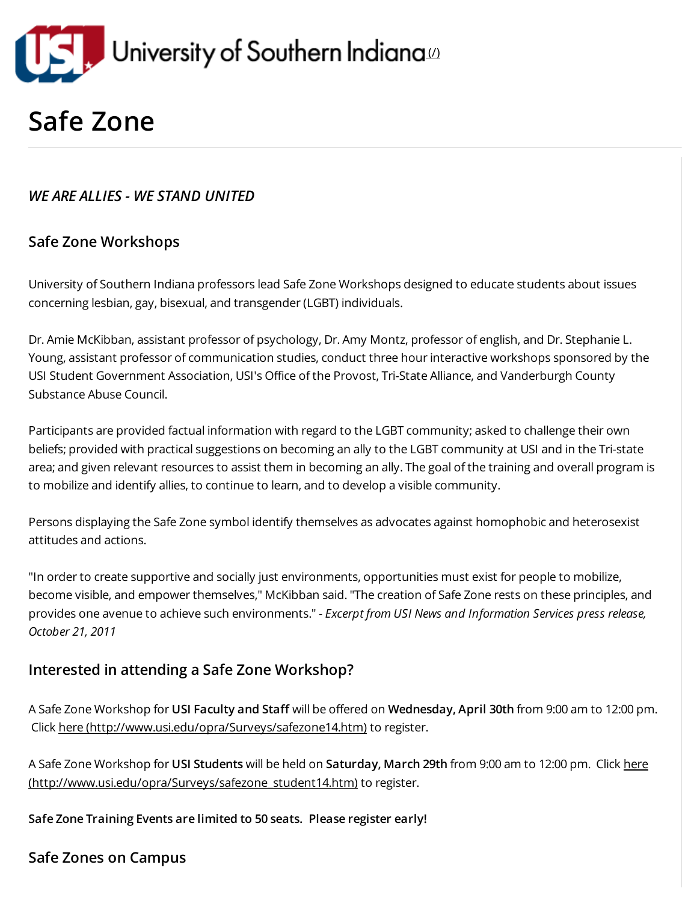

# Safe Zone

# WE ARE ALLIES - WE STAND UNITED

# Safe Zone Workshops

University of Southern Indiana professors lead Safe Zone Workshops designed to educate students about issues concerning lesbian, gay, bisexual, and transgender (LGBT) individuals.

Dr. Amie McKibban, assistant professor of psychology, Dr. Amy Montz, professor of english, and Dr. Stephanie L. Young, assistant professor of communication studies, conduct three hour interactive workshops sponsored by the USI Student Government Association, USI's Office of the Provost, Tri-State Alliance, and Vanderburgh County Substance Abuse Council.

Participants are provided factual information with regard to the LGBT community; asked to challenge their own beliefs; provided with practical suggestions on becoming an ally to the LGBT community at USI and in the Tri-state area; and given relevant resources to assist them in becoming an ally. The goal of the training and overall program is to mobilize and identify allies, to continue to learn, and to develop a visible community.

Persons displaying the Safe Zone symbol identify themselves as advocates against homophobic and heterosexist attitudes and actions.

"In order to create supportive and socially just environments, opportunities must exist for people to mobilize, become visible, and empower themselves," McKibban said. "The creation of Safe Zone rests on these principles, and provides one avenue to achieve such environments." - Excerpt from USI News and Information Services press release, October 21, 2011

### Interested in attending a Safe Zone Workshop?

A Safe Zone Workshop for USI Faculty and Staff will be offered on Wednesday, April 30th from 9:00 am to 12:00 pm. Click here [\(http://www.usi.edu/opra/Surveys/safezone14.htm\)](http://www.usi.edu/opra/Surveys/safezone14.htm) to register.

A Safe Zone Workshop for USI Students will be held on Saturday, March 29th from 9:00 am to 12:00 pm. Click here [\(http://www.usi.edu/opra/Surveys/safezone\\_student14.htm\)](http://www.usi.edu/opra/Surveys/safezone_student14.htm) to register.

Safe Zone Training Events are limited to 50 seats. Please register early!

Safe Zones on Campus